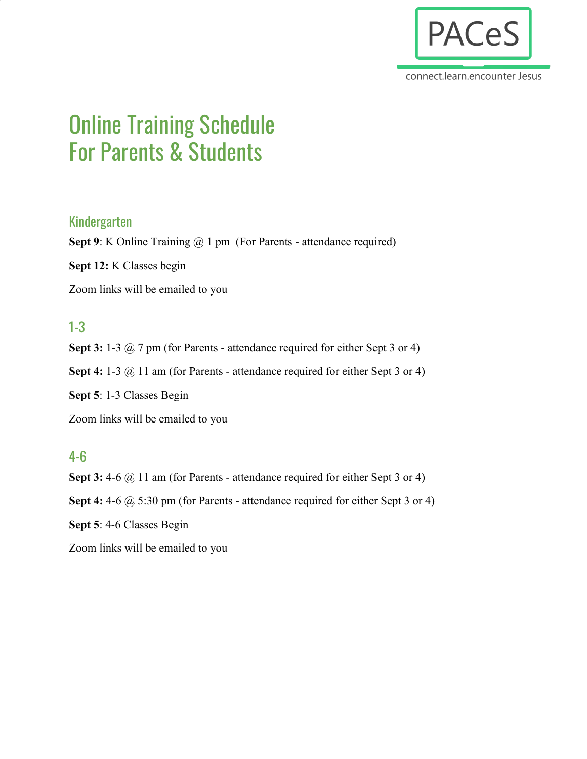

connect.learn.encounter Jesus

# Online Training Schedule For Parents & Students

#### Kindergarten

**Sept 9**: K Online Training @ 1 pm (For Parents - attendance required)

**Sept 12:** K Classes begin

Zoom links will be emailed to you

## 1-3

**Sept 3:** 1-3 @ 7 pm (for Parents - attendance required for either Sept 3 or 4) Sept 4: 1-3 @ 11 am (for Parents - attendance required for either Sept 3 or 4) **Sept 5**: 1-3 Classes Begin Zoom links will be emailed to you

## 4-6

Sept 3: 4-6 @ 11 am (for Parents - attendance required for either Sept 3 or 4) **Sept 4:** 4-6 @ 5:30 pm (for Parents - attendance required for either Sept 3 or 4) **Sept 5**: 4-6 Classes Begin Zoom links will be emailed to you